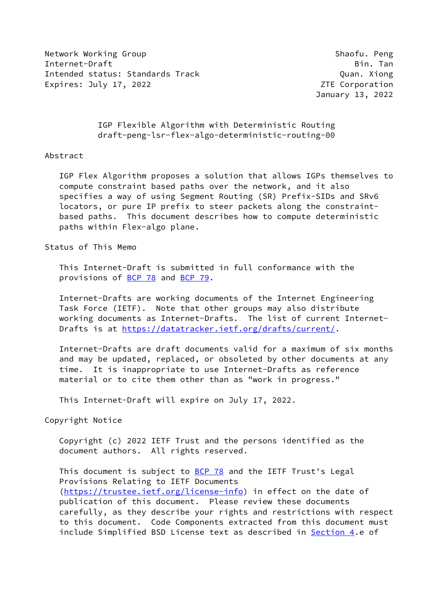Network Working Group Shaofu. Peng Internet-Draft Bin. Tan Intended status: Standards Track (and the control of the control of the control of the control of the control o Expires: July 17, 2022 **Expires: July 17, 2022** 

January 13, 2022

 IGP Flexible Algorithm with Deterministic Routing draft-peng-lsr-flex-algo-deterministic-routing-00

## Abstract

 IGP Flex Algorithm proposes a solution that allows IGPs themselves to compute constraint based paths over the network, and it also specifies a way of using Segment Routing (SR) Prefix-SIDs and SRv6 locators, or pure IP prefix to steer packets along the constraint based paths. This document describes how to compute deterministic paths within Flex-algo plane.

Status of This Memo

 This Internet-Draft is submitted in full conformance with the provisions of [BCP 78](https://datatracker.ietf.org/doc/pdf/bcp78) and [BCP 79](https://datatracker.ietf.org/doc/pdf/bcp79).

 Internet-Drafts are working documents of the Internet Engineering Task Force (IETF). Note that other groups may also distribute working documents as Internet-Drafts. The list of current Internet- Drafts is at<https://datatracker.ietf.org/drafts/current/>.

 Internet-Drafts are draft documents valid for a maximum of six months and may be updated, replaced, or obsoleted by other documents at any time. It is inappropriate to use Internet-Drafts as reference material or to cite them other than as "work in progress."

This Internet-Draft will expire on July 17, 2022.

Copyright Notice

 Copyright (c) 2022 IETF Trust and the persons identified as the document authors. All rights reserved.

This document is subject to **[BCP 78](https://datatracker.ietf.org/doc/pdf/bcp78)** and the IETF Trust's Legal Provisions Relating to IETF Documents [\(https://trustee.ietf.org/license-info](https://trustee.ietf.org/license-info)) in effect on the date of publication of this document. Please review these documents carefully, as they describe your rights and restrictions with respect to this document. Code Components extracted from this document must include Simplified BSD License text as described in [Section 4.](#page-7-0)e of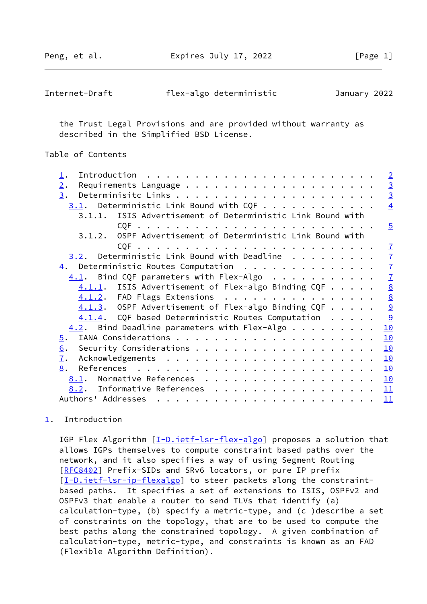Peng, et al. **Expires July 17, 2022** [Page 1]

<span id="page-1-1"></span>

| Internet-Draft | flex-algo deterministic | January 2022 |
|----------------|-------------------------|--------------|
|----------------|-------------------------|--------------|

 the Trust Legal Provisions and are provided without warranty as described in the Simplified BSD License.

## Table of Contents

| $\mathbf{\underline{1}}$ .                                                                                                                                                                                                                                                                                                                                                                                                                                                                               | $\overline{2}$  |
|----------------------------------------------------------------------------------------------------------------------------------------------------------------------------------------------------------------------------------------------------------------------------------------------------------------------------------------------------------------------------------------------------------------------------------------------------------------------------------------------------------|-----------------|
| 2.                                                                                                                                                                                                                                                                                                                                                                                                                                                                                                       |                 |
| 3.                                                                                                                                                                                                                                                                                                                                                                                                                                                                                                       | $\frac{3}{3}$   |
| $3.1$ . Deterministic Link Bound with CQF                                                                                                                                                                                                                                                                                                                                                                                                                                                                | $\overline{4}$  |
| 3.1.1. ISIS Advertisement of Deterministic Link Bound with                                                                                                                                                                                                                                                                                                                                                                                                                                               |                 |
|                                                                                                                                                                                                                                                                                                                                                                                                                                                                                                          | $\overline{5}$  |
| OSPF Advertisement of Deterministic Link Bound with<br>3.1.2.                                                                                                                                                                                                                                                                                                                                                                                                                                            |                 |
|                                                                                                                                                                                                                                                                                                                                                                                                                                                                                                          | $\mathbf{I}$    |
| $3.2$ . Deterministic Link Bound with Deadline                                                                                                                                                                                                                                                                                                                                                                                                                                                           | $\mathbf{I}$    |
| $\underline{4}$ . Deterministic Routes Computation                                                                                                                                                                                                                                                                                                                                                                                                                                                       | $\overline{1}$  |
| $4.1$ . Bind CQF parameters with Flex-Algo                                                                                                                                                                                                                                                                                                                                                                                                                                                               | $\overline{1}$  |
| $4.1.1.$ ISIS Advertisement of Flex-algo Binding CQF                                                                                                                                                                                                                                                                                                                                                                                                                                                     | $\underline{8}$ |
| $4.1.2$ . FAD Flags Extensions                                                                                                                                                                                                                                                                                                                                                                                                                                                                           | $\underline{8}$ |
| $4.1.3.$ OSPF Advertisement of Flex-algo Binding CQF                                                                                                                                                                                                                                                                                                                                                                                                                                                     | $\overline{9}$  |
| $4.1.4$ . CQF based Deterministic Routes Computation                                                                                                                                                                                                                                                                                                                                                                                                                                                     | 9               |
| $4.2$ . Bind Deadline parameters with Flex-Algo                                                                                                                                                                                                                                                                                                                                                                                                                                                          | 10              |
| 5.                                                                                                                                                                                                                                                                                                                                                                                                                                                                                                       | 10              |
| 6.                                                                                                                                                                                                                                                                                                                                                                                                                                                                                                       | 10              |
| 7.                                                                                                                                                                                                                                                                                                                                                                                                                                                                                                       | 10              |
| 8.                                                                                                                                                                                                                                                                                                                                                                                                                                                                                                       | 10              |
| Normative References<br>8.1.                                                                                                                                                                                                                                                                                                                                                                                                                                                                             | <u> 10</u>      |
| 8.2. Informative References                                                                                                                                                                                                                                                                                                                                                                                                                                                                              | 11              |
| Authors' Addresses<br>$\mathbf{r}_1 \cdot \mathbf{r}_2 \cdot \mathbf{r}_3 \cdot \mathbf{r}_4 \cdot \mathbf{r}_5 \cdot \mathbf{r}_5 \cdot \mathbf{r}_6 \cdot \mathbf{r}_7 \cdot \mathbf{r}_8 \cdot \mathbf{r}_8 \cdot \mathbf{r}_9 \cdot \mathbf{r}_9 \cdot \mathbf{r}_9 \cdot \mathbf{r}_1 \cdot \mathbf{r}_1 \cdot \mathbf{r}_2 \cdot \mathbf{r}_3 \cdot \mathbf{r}_1 \cdot \mathbf{r}_2 \cdot \mathbf{r}_3 \cdot \mathbf{r}_3 \cdot \mathbf{r}_4 \cdot \mathbf{r}_5 \cdot \mathbf{r}_6 \cdot \mathbf{$ | 11              |

# <span id="page-1-0"></span>[1](#page-1-0). Introduction

IGP Flex Algorithm [[I-D.ietf-lsr-flex-algo](#page-10-7)] proposes a solution that allows IGPs themselves to compute constraint based paths over the network, and it also specifies a way of using Segment Routing [\[RFC8402](https://datatracker.ietf.org/doc/pdf/rfc8402)] Prefix-SIDs and SRv6 locators, or pure IP prefix [\[I-D.ietf-lsr-ip-flexalgo](#page-10-8)] to steer packets along the constraint based paths. It specifies a set of extensions to ISIS, OSPFv2 and OSPFv3 that enable a router to send TLVs that identify (a) calculation-type, (b) specify a metric-type, and (c )describe a set of constraints on the topology, that are to be used to compute the best paths along the constrained topology. A given combination of calculation-type, metric-type, and constraints is known as an FAD (Flexible Algorithm Definition).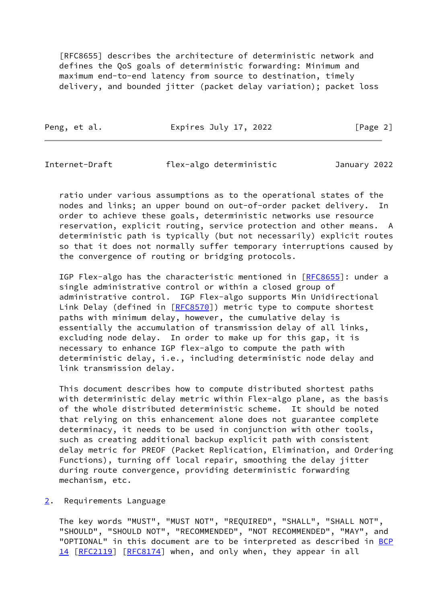[RFC8655] describes the architecture of deterministic network and defines the QoS goals of deterministic forwarding: Minimum and maximum end-to-end latency from source to destination, timely delivery, and bounded jitter (packet delay variation); packet loss

Peng, et al. **Expires July 17, 2022** [Page 2]

<span id="page-2-1"></span>Internet-Draft flex-algo deterministic January 2022

 ratio under various assumptions as to the operational states of the nodes and links; an upper bound on out-of-order packet delivery. In order to achieve these goals, deterministic networks use resource reservation, explicit routing, service protection and other means. A deterministic path is typically (but not necessarily) explicit routes so that it does not normally suffer temporary interruptions caused by the convergence of routing or bridging protocols.

IGP Flex-algo has the characteristic mentioned in [[RFC8655](https://datatracker.ietf.org/doc/pdf/rfc8655)]: under a single administrative control or within a closed group of administrative control. IGP Flex-algo supports Min Unidirectional Link Delay (defined in [\[RFC8570](https://datatracker.ietf.org/doc/pdf/rfc8570)]) metric type to compute shortest paths with minimum delay, however, the cumulative delay is essentially the accumulation of transmission delay of all links, excluding node delay. In order to make up for this gap, it is necessary to enhance IGP flex-algo to compute the path with deterministic delay, i.e., including deterministic node delay and link transmission delay.

 This document describes how to compute distributed shortest paths with deterministic delay metric within Flex-algo plane, as the basis of the whole distributed deterministic scheme. It should be noted that relying on this enhancement alone does not guarantee complete determinacy, it needs to be used in conjunction with other tools, such as creating additional backup explicit path with consistent delay metric for PREOF (Packet Replication, Elimination, and Ordering Functions), turning off local repair, smoothing the delay jitter during route convergence, providing deterministic forwarding mechanism, etc.

<span id="page-2-0"></span>[2](#page-2-0). Requirements Language

 The key words "MUST", "MUST NOT", "REQUIRED", "SHALL", "SHALL NOT", "SHOULD", "SHOULD NOT", "RECOMMENDED", "NOT RECOMMENDED", "MAY", and "OPTIONAL" in this document are to be interpreted as described in [BCP](https://datatracker.ietf.org/doc/pdf/bcp14) [14](https://datatracker.ietf.org/doc/pdf/bcp14) [[RFC2119\]](https://datatracker.ietf.org/doc/pdf/rfc2119) [\[RFC8174](https://datatracker.ietf.org/doc/pdf/rfc8174)] when, and only when, they appear in all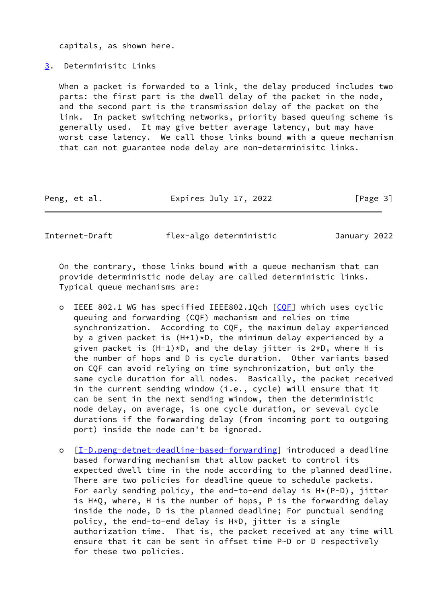capitals, as shown here.

<span id="page-3-0"></span>[3](#page-3-0). Determinisitc Links

 When a packet is forwarded to a link, the delay produced includes two parts: the first part is the dwell delay of the packet in the node, and the second part is the transmission delay of the packet on the link. In packet switching networks, priority based queuing scheme is generally used. It may give better average latency, but may have worst case latency. We call those links bound with a queue mechanism that can not guarantee node delay are non-determinisitc links.

| Peng, et al. | Expires July 17, 2022 | [Page 3] |
|--------------|-----------------------|----------|
|              |                       |          |

<span id="page-3-1"></span>Internet-Draft flex-algo deterministic January 2022

 On the contrary, those links bound with a queue mechanism that can provide deterministic node delay are called deterministic links. Typical queue mechanisms are:

- o IEEE 802.1 WG has specified IEEE802.1Qch [\[CQF](#page-11-2)] which uses cyclic queuing and forwarding (CQF) mechanism and relies on time synchronization. According to CQF, the maximum delay experienced by a given packet is  $(H+1)*D$ , the minimum delay experienced by a given packet is  $(H-1)*D$ , and the delay jitter is  $2*D$ , where H is the number of hops and D is cycle duration. Other variants based on CQF can avoid relying on time synchronization, but only the same cycle duration for all nodes. Basically, the packet received in the current sending window (i.e., cycle) will ensure that it can be sent in the next sending window, then the deterministic node delay, on average, is one cycle duration, or seveval cycle durations if the forwarding delay (from incoming port to outgoing port) inside the node can't be ignored.
- o [[I-D.peng-detnet-deadline-based-forwarding\]](#page-10-9) introduced a deadline based forwarding mechanism that allow packet to control its expected dwell time in the node according to the planned deadline. There are two policies for deadline queue to schedule packets. For early sending policy, the end-to-end delay is H\*(P~D), jitter is H\*Q, where, H is the number of hops, P is the forwarding delay inside the node, D is the planned deadline; For punctual sending policy, the end-to-end delay is H\*D, jitter is a single authorization time. That is, the packet received at any time will ensure that it can be sent in offset time P~D or D respectively for these two policies.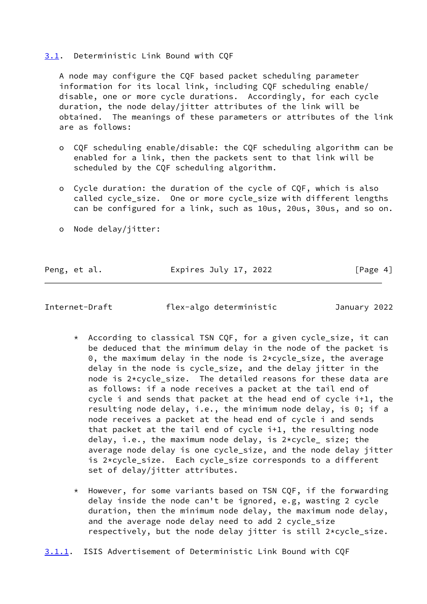## <span id="page-4-0"></span>[3.1](#page-4-0). Deterministic Link Bound with CQF

 A node may configure the CQF based packet scheduling parameter information for its local link, including CQF scheduling enable/ disable, one or more cycle durations. Accordingly, for each cycle duration, the node delay/jitter attributes of the link will be obtained. The meanings of these parameters or attributes of the link are as follows:

- o CQF scheduling enable/disable: the CQF scheduling algorithm can be enabled for a link, then the packets sent to that link will be scheduled by the CQF scheduling algorithm.
- o Cycle duration: the duration of the cycle of CQF, which is also called cycle size. One or more cycle size with different lengths can be configured for a link, such as 10us, 20us, 30us, and so on.
- o Node delay/jitter:

Peng, et al. **Expires July 17, 2022** [Page 4]

<span id="page-4-1"></span>Internet-Draft flex-algo deterministic January 2022

- \* According to classical TSN CQF, for a given cycle\_size, it can be deduced that the minimum delay in the node of the packet is 0, the maximum delay in the node is 2\*cycle\_size, the average delay in the node is cycle\_size, and the delay jitter in the node is 2\*cycle\_size. The detailed reasons for these data are as follows: if a node receives a packet at the tail end of cycle i and sends that packet at the head end of cycle i+1, the resulting node delay, i.e., the minimum node delay, is 0; if a node receives a packet at the head end of cycle i and sends that packet at the tail end of cycle i+1, the resulting node delay, i.e., the maximum node delay, is 2\*cycle\_ size; the average node delay is one cycle\_size, and the node delay jitter is 2\*cycle\_size. Each cycle\_size corresponds to a different set of delay/jitter attributes.
- \* However, for some variants based on TSN CQF, if the forwarding delay inside the node can't be ignored, e.g, wasting 2 cycle duration, then the minimum node delay, the maximum node delay, and the average node delay need to add 2 cycle\_size respectively, but the node delay jitter is still 2\*cycle\_size.
- <span id="page-4-2"></span>[3.1.1](#page-4-2). ISIS Advertisement of Deterministic Link Bound with CQF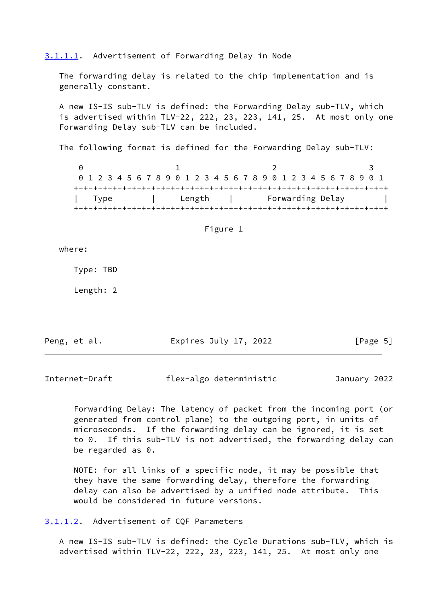<span id="page-5-0"></span>[3.1.1.1](#page-5-0). Advertisement of Forwarding Delay in Node

 The forwarding delay is related to the chip implementation and is generally constant.

 A new IS-IS sub-TLV is defined: the Forwarding Delay sub-TLV, which is advertised within TLV-22, 222, 23, 223, 141, 25. At most only one Forwarding Delay sub-TLV can be included.

The following format is defined for the Forwarding Delay sub-TLV:

0 1 2 3 0 1 2 3 4 5 6 7 8 9 0 1 2 3 4 5 6 7 8 9 0 1 2 3 4 5 6 7 8 9 0 1 +-+-+-+-+-+-+-+-+-+-+-+-+-+-+-+-+-+-+-+-+-+-+-+-+-+-+-+-+-+-+-+-+ | Type | Length | Forwarding Delay | +-+-+-+-+-+-+-+-+-+-+-+-+-+-+-+-+-+-+-+-+-+-+-+-+-+-+-+-+-+-+-+-+

| Figure 1 |  |
|----------|--|
|          |  |

where:

Type: TBD

Length: 2

Peng, et al. Expires July 17, 2022 [Page 5]

Internet-Draft flex-algo deterministic January 2022

 Forwarding Delay: The latency of packet from the incoming port (or generated from control plane) to the outgoing port, in units of microseconds. If the forwarding delay can be ignored, it is set to 0. If this sub-TLV is not advertised, the forwarding delay can be regarded as 0.

 NOTE: for all links of a specific node, it may be possible that they have the same forwarding delay, therefore the forwarding delay can also be advertised by a unified node attribute. This would be considered in future versions.

<span id="page-5-1"></span>[3.1.1.2](#page-5-1). Advertisement of CQF Parameters

 A new IS-IS sub-TLV is defined: the Cycle Durations sub-TLV, which is advertised within TLV-22, 222, 23, 223, 141, 25. At most only one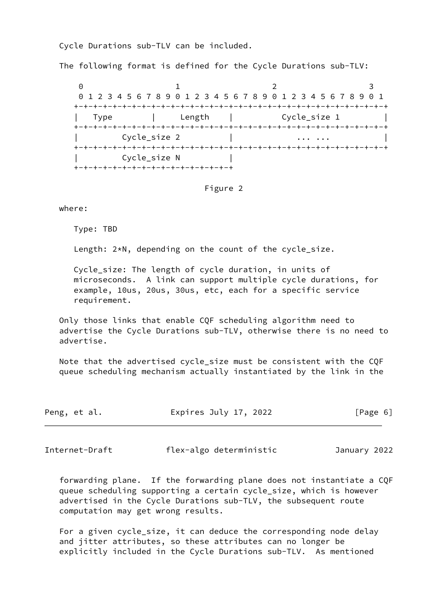Cycle Durations sub-TLV can be included.

The following format is defined for the Cycle Durations sub-TLV:

0 1 2 3 0 1 2 3 4 5 6 7 8 9 0 1 2 3 4 5 6 7 8 9 0 1 2 3 4 5 6 7 8 9 0 1 +-+-+-+-+-+-+-+-+-+-+-+-+-+-+-+-+-+-+-+-+-+-+-+-+-+-+-+-+-+-+-+-+ | Type | Length | Cycle\_size 1 | +-+-+-+-+-+-+-+-+-+-+-+-+-+-+-+-+-+-+-+-+-+-+-+-+-+-+-+-+-+-+-+-+ Cycle\_size 2 | ... ... +-+-+-+-+-+-+-+-+-+-+-+-+-+-+-+-+-+-+-+-+-+-+-+-+-+-+-+-+-+-+-+-+ Cycle\_size N +-+-+-+-+-+-+-+-+-+-+-+-+-+-+-+-+

#### Figure 2

where:

Type: TBD

Length: 2\*N, depending on the count of the cycle\_size.

 Cycle\_size: The length of cycle duration, in units of microseconds. A link can support multiple cycle durations, for example, 10us, 20us, 30us, etc, each for a specific service requirement.

 Only those links that enable CQF scheduling algorithm need to advertise the Cycle Durations sub-TLV, otherwise there is no need to advertise.

 Note that the advertised cycle\_size must be consistent with the CQF queue scheduling mechanism actually instantiated by the link in the

| Peng, et al. | Expires July 17, 2022 | [Page 6] |  |
|--------------|-----------------------|----------|--|
|              |                       |          |  |

<span id="page-6-0"></span>Internet-Draft flex-algo deterministic January 2022

 forwarding plane. If the forwarding plane does not instantiate a CQF queue scheduling supporting a certain cycle\_size, which is however advertised in the Cycle Durations sub-TLV, the subsequent route computation may get wrong results.

 For a given cycle\_size, it can deduce the corresponding node delay and jitter attributes, so these attributes can no longer be explicitly included in the Cycle Durations sub-TLV. As mentioned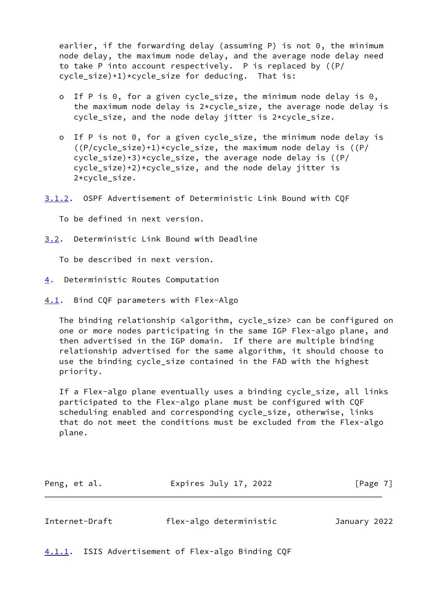earlier, if the forwarding delay (assuming P) is not 0, the minimum node delay, the maximum node delay, and the average node delay need to take P into account respectively. P is replaced by ((P/ cycle\_size)+1)\*cycle\_size for deducing. That is:

- If P is 0, for a given cycle\_size, the minimum node delay is 0, the maximum node delay is  $2*cycle$  size, the average node delay is cycle\_size, and the node delay jitter is 2\*cycle\_size.
- o If P is not 0, for a given cycle\_size, the minimum node delay is  $((P/cycle_size)+1)*cycle_size,$  the maximum node delay is  $((P/c)^2)$ cycle\_size)+3)\*cycle\_size, the average node delay is  $((P/\sqrt{P}))$  cycle\_size)+2)\*cycle\_size, and the node delay jitter is 2\*cycle\_size.

<span id="page-7-5"></span>[3.1.2](#page-7-5). OSPF Advertisement of Deterministic Link Bound with CQF

To be defined in next version.

<span id="page-7-1"></span>[3.2](#page-7-1). Deterministic Link Bound with Deadline

To be described in next version.

- <span id="page-7-0"></span>[4](#page-7-0). Deterministic Routes Computation
- <span id="page-7-2"></span>[4.1](#page-7-2). Bind CQF parameters with Flex-Algo

The binding relationship <algorithm, cycle\_size> can be configured on one or more nodes participating in the same IGP Flex-algo plane, and then advertised in the IGP domain. If there are multiple binding relationship advertised for the same algorithm, it should choose to use the binding cycle\_size contained in the FAD with the highest priority.

If a Flex-algo plane eventually uses a binding cycle size, all links participated to the Flex-algo plane must be configured with CQF scheduling enabled and corresponding cycle\_size, otherwise, links that do not meet the conditions must be excluded from the Flex-algo plane.

| Expires July 17, 2022<br>Peng, et al. | [Page 7] |
|---------------------------------------|----------|
|---------------------------------------|----------|

<span id="page-7-4"></span>

| Internet-Draft | flex-algo deterministic | January 2022 |  |
|----------------|-------------------------|--------------|--|
|                |                         |              |  |

<span id="page-7-3"></span>[4.1.1](#page-7-3). ISIS Advertisement of Flex-algo Binding CQF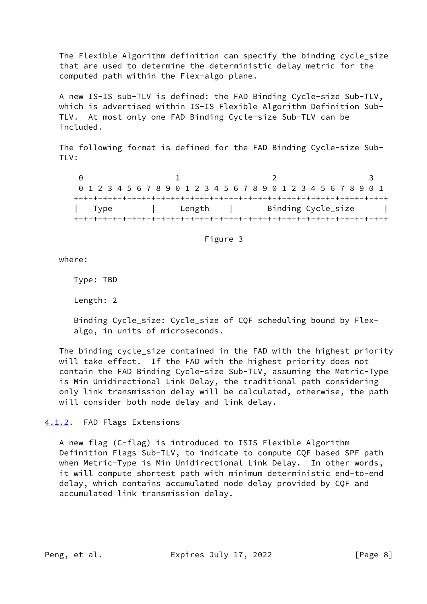The Flexible Algorithm definition can specify the binding cycle\_size that are used to determine the deterministic delay metric for the computed path within the Flex-algo plane.

 A new IS-IS sub-TLV is defined: the FAD Binding Cycle-size Sub-TLV, which is advertised within IS-IS Flexible Algorithm Definition Sub- TLV. At most only one FAD Binding Cycle-size Sub-TLV can be included.

 The following format is defined for the FAD Binding Cycle-size Sub- TLV:

0 1 2 3 0 1 2 3 4 5 6 7 8 9 0 1 2 3 4 5 6 7 8 9 0 1 2 3 4 5 6 7 8 9 0 1 +-+-+-+-+-+-+-+-+-+-+-+-+-+-+-+-+-+-+-+-+-+-+-+-+-+-+-+-+-+-+-+-+ | Type | Length | Binding Cycle\_size | +-+-+-+-+-+-+-+-+-+-+-+-+-+-+-+-+-+-+-+-+-+-+-+-+-+-+-+-+-+-+-+-+

Figure 3

where:

Type: TBD

Length: 2

 Binding Cycle\_size: Cycle\_size of CQF scheduling bound by Flex algo, in units of microseconds.

 The binding cycle\_size contained in the FAD with the highest priority will take effect. If the FAD with the highest priority does not contain the FAD Binding Cycle-size Sub-TLV, assuming the Metric-Type is Min Unidirectional Link Delay, the traditional path considering only link transmission delay will be calculated, otherwise, the path will consider both node delay and link delay.

<span id="page-8-0"></span>[4.1.2](#page-8-0). FAD Flags Extensions

 A new flag (C-flag) is introduced to ISIS Flexible Algorithm Definition Flags Sub-TLV, to indicate to compute CQF based SPF path when Metric-Type is Min Unidirectional Link Delay. In other words, it will compute shortest path with minimum deterministic end-to-end delay, which contains accumulated node delay provided by CQF and accumulated link transmission delay.

Peng, et al. Expires July 17, 2022 [Page 8]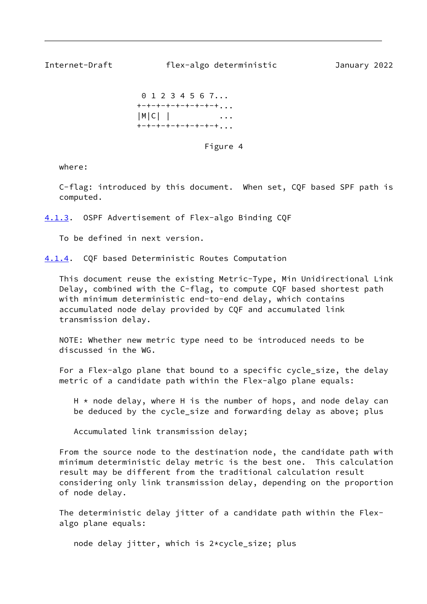<span id="page-9-1"></span>Internet-Draft flex-algo deterministic January 2022

 0 1 2 3 4 5 6 7... +-+-+-+-+-+-+-+-+... |M|C| | ... +-+-+-+-+-+-+-+-+...

Figure 4

where:

 C-flag: introduced by this document. When set, CQF based SPF path is computed.

<span id="page-9-0"></span>[4.1.3](#page-9-0). OSPF Advertisement of Flex-algo Binding CQF

To be defined in next version.

<span id="page-9-2"></span>[4.1.4](#page-9-2). CQF based Deterministic Routes Computation

 This document reuse the existing Metric-Type, Min Unidirectional Link Delay, combined with the C-flag, to compute CQF based shortest path with minimum deterministic end-to-end delay, which contains accumulated node delay provided by CQF and accumulated link transmission delay.

 NOTE: Whether new metric type need to be introduced needs to be discussed in the WG.

 For a Flex-algo plane that bound to a specific cycle\_size, the delay metric of a candidate path within the Flex-algo plane equals:

 $H * node delay, where H is the number of hops, and node delay can$ be deduced by the cycle\_size and forwarding delay as above; plus

Accumulated link transmission delay;

 From the source node to the destination node, the candidate path with minimum deterministic delay metric is the best one. This calculation result may be different from the traditional calculation result considering only link transmission delay, depending on the proportion of node delay.

 The deterministic delay jitter of a candidate path within the Flex algo plane equals:

node delay jitter, which is 2\*cycle\_size; plus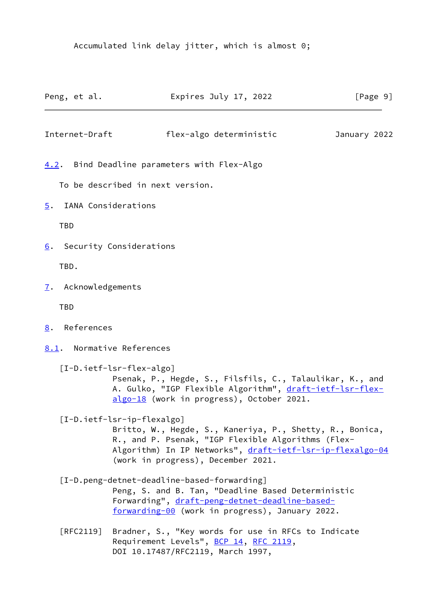Accumulated link delay jitter, which is almost 0;

<span id="page-10-9"></span><span id="page-10-8"></span><span id="page-10-7"></span><span id="page-10-6"></span><span id="page-10-5"></span><span id="page-10-4"></span><span id="page-10-3"></span><span id="page-10-2"></span><span id="page-10-1"></span><span id="page-10-0"></span>

|      |            | Peng, et al.        | Expires July 17, 2022                                                                                                                                                                                                                           | $\lceil \text{Page } 9 \rceil$ |
|------|------------|---------------------|-------------------------------------------------------------------------------------------------------------------------------------------------------------------------------------------------------------------------------------------------|--------------------------------|
|      |            | Internet-Draft      | flex-algo deterministic                                                                                                                                                                                                                         | January 2022                   |
| 4.2. |            |                     | Bind Deadline parameters with Flex-Algo                                                                                                                                                                                                         |                                |
|      |            |                     | To be described in next version.                                                                                                                                                                                                                |                                |
| 5.   |            |                     | IANA Considerations                                                                                                                                                                                                                             |                                |
|      | <b>TBD</b> |                     |                                                                                                                                                                                                                                                 |                                |
| 6.   |            |                     | Security Considerations                                                                                                                                                                                                                         |                                |
|      | TBD.       |                     |                                                                                                                                                                                                                                                 |                                |
|      |            | 7. Acknowledgements |                                                                                                                                                                                                                                                 |                                |
|      | <b>TBD</b> |                     |                                                                                                                                                                                                                                                 |                                |
| 8.   |            | References          |                                                                                                                                                                                                                                                 |                                |
|      |            |                     | 8.1. Normative References                                                                                                                                                                                                                       |                                |
|      |            |                     | [I-D.ietf-lsr-flex-algo]<br>Psenak, P., Hegde, S., Filsfils, C., Talaulikar, K., and<br>A. Gulko, "IGP Flexible Algorithm", draft-ietf-lsr-flex-<br>algo-18 (work in progress), October 2021.                                                   |                                |
|      |            |                     | [I-D.ietf-lsr-ip-flexalgo]<br>Britto, W., Hegde, S., Kaneriya, P., Shetty, R., Bonica,<br>R., and P. Psenak, "IGP Flexible Algorithms (Flex-<br>Algorithm) In IP Networks", draft-ietf-lsr-ip-flexalgo-04<br>(work in progress), December 2021. |                                |
|      |            |                     | [I-D.peng-detnet-deadline-based-forwarding]<br>Peng, S. and B. Tan, "Deadline Based Deterministic<br>Forwarding", draft-peng-detnet-deadline-based-<br>forwarding-00 (work in progress), January 2022.                                          |                                |
|      |            | [RFC2119]           | Bradner, S., "Key words for use in RFCs to Indicate<br>Requirement Levels", BCP 14, RFC 2119,<br>DOI 10.17487/RFC2119, March 1997,                                                                                                              |                                |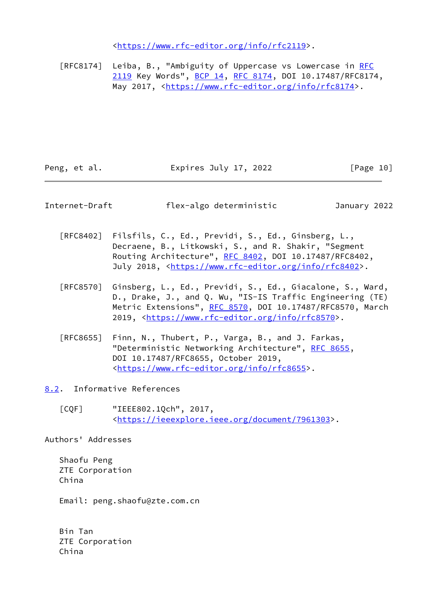<[https://www.rfc-editor.org/info/rfc2119>](https://www.rfc-editor.org/info/rfc2119).

[RFC8174] Leiba, B., "Ambiguity of Uppercase vs Lowercase in [RFC](https://datatracker.ietf.org/doc/pdf/rfc2119) [2119](https://datatracker.ietf.org/doc/pdf/rfc2119) Key Words", [BCP 14](https://datatracker.ietf.org/doc/pdf/bcp14), [RFC 8174,](https://datatracker.ietf.org/doc/pdf/rfc8174) DOI 10.17487/RFC8174, May 2017, [<https://www.rfc-editor.org/info/rfc8174](https://www.rfc-editor.org/info/rfc8174)>.

Peng, et al. Expires July 17, 2022 [Page 10]

<span id="page-11-1"></span>Internet-Draft flex-algo deterministic January 2022

- [RFC8402] Filsfils, C., Ed., Previdi, S., Ed., Ginsberg, L., Decraene, B., Litkowski, S., and R. Shakir, "Segment Routing Architecture", [RFC 8402](https://datatracker.ietf.org/doc/pdf/rfc8402), DOI 10.17487/RFC8402, July 2018, <<https://www.rfc-editor.org/info/rfc8402>>.
- [RFC8570] Ginsberg, L., Ed., Previdi, S., Ed., Giacalone, S., Ward, D., Drake, J., and Q. Wu, "IS-IS Traffic Engineering (TE) Metric Extensions", [RFC 8570,](https://datatracker.ietf.org/doc/pdf/rfc8570) DOI 10.17487/RFC8570, March 2019, [<https://www.rfc-editor.org/info/rfc8570](https://www.rfc-editor.org/info/rfc8570)>.
- [RFC8655] Finn, N., Thubert, P., Varga, B., and J. Farkas, "Deterministic Networking Architecture", [RFC 8655,](https://datatracker.ietf.org/doc/pdf/rfc8655) DOI 10.17487/RFC8655, October 2019, <[https://www.rfc-editor.org/info/rfc8655>](https://www.rfc-editor.org/info/rfc8655).

<span id="page-11-0"></span>[8.2](#page-11-0). Informative References

<span id="page-11-2"></span> [CQF] "IEEE802.1Qch", 2017, <[https://ieeexplore.ieee.org/document/7961303>](https://ieeexplore.ieee.org/document/7961303).

Authors' Addresses

 Shaofu Peng ZTE Corporation China

Email: peng.shaofu@zte.com.cn

 Bin Tan ZTE Corporation China